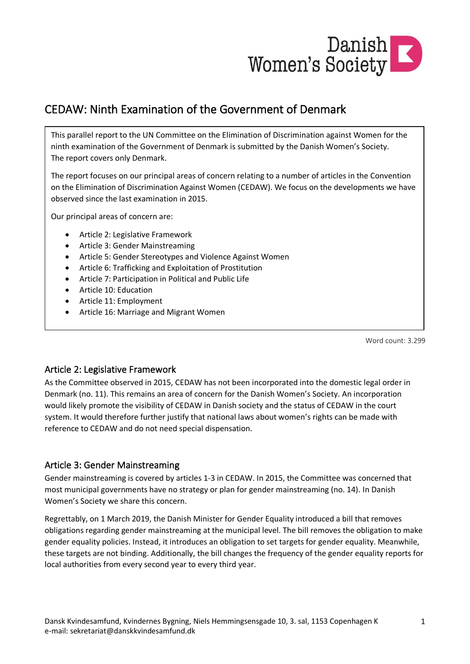

# CEDAW: Ninth Examination of the Government of Denmark

This parallel report to the UN Committee on the Elimination of Discrimination against Women for the ninth examination of the Government of Denmark is submitted by the Danish Women's Society. The report covers only Denmark.

The report focuses on our principal areas of concern relating to a number of articles in the Convention on the Elimination of Discrimination Against Women (CEDAW). We focus on the developments we have observed since the last examination in 2015.

Our principal areas of concern are:

- Article 2: Legislative Framework
- Article 3: Gender Mainstreaming
- Article 5: Gender Stereotypes and Violence Against Women
- Article 6: Trafficking and Exploitation of Prostitution
- Article 7: Participation in Political and Public Life
- Article 10: Education
- Article 11: Employment
- Article 16: Marriage and Migrant Women

Word count: 3.299

# Article 2: Legislative Framework

As the Committee observed in 2015, CEDAW has not been incorporated into the domestic legal order in Denmark (no. 11). This remains an area of concern for the Danish Women's Society. An incorporation would likely promote the visibility of CEDAW in Danish society and the status of CEDAW in the court system. It would therefore further justify that national laws about women's rights can be made with reference to CEDAW and do not need special dispensation.

# Article 3: Gender Mainstreaming

Gender mainstreaming is covered by articles 1-3 in CEDAW. In 2015, the Committee was concerned that most municipal governments have no strategy or plan for gender mainstreaming (no. 14). In Danish Women's Society we share this concern.

Regrettably, on 1 March 2019, the Danish Minister for Gender Equality introduced a bill that removes obligations regarding gender mainstreaming at the municipal level. The bill removes the obligation to make gender equality policies. Instead, it introduces an obligation to set targets for gender equality. Meanwhile, these targets are not binding. Additionally, the bill changes the frequency of the gender equality reports for local authorities from every second year to every third year.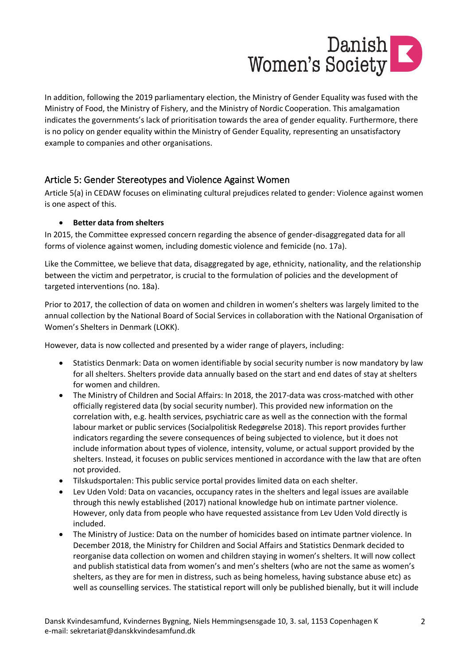

In addition, following the 2019 parliamentary election, the Ministry of Gender Equality was fused with the Ministry of Food, the Ministry of Fishery, and the Ministry of Nordic Cooperation. This amalgamation indicates the governments's lack of prioritisation towards the area of gender equality. Furthermore, there is no policy on gender equality within the Ministry of Gender Equality, representing an unsatisfactory example to companies and other organisations.

# Article 5: Gender Stereotypes and Violence Against Women

Article 5(a) in CEDAW focuses on eliminating cultural prejudices related to gender: Violence against women is one aspect of this.

# • **Better data from shelters**

In 2015, the Committee expressed concern regarding the absence of gender-disaggregated data for all forms of violence against women, including domestic violence and femicide (no. 17a).

Like the Committee, we believe that data, disaggregated by age, ethnicity, nationality, and the relationship between the victim and perpetrator, is crucial to the formulation of policies and the development of targeted interventions (no. 18a).

Prior to 2017, the collection of data on women and children in women's shelters was largely limited to the annual collection by the National Board of Social Services in collaboration with the National Organisation of Women's Shelters in Denmark (LOKK).

However, data is now collected and presented by a wider range of players, including:

- Statistics Denmark: Data on women identifiable by social security number is now mandatory by law for all shelters. Shelters provide data annually based on the start and end dates of stay at shelters for women and children.
- The Ministry of Children and Social Affairs: In 2018, the 2017-data was cross-matched with other officially registered data (by social security number). This provided new information on the correlation with, e.g. health services, psychiatric care as well as the connection with the formal labour market or public services (Socialpolitisk Redegørelse 2018). This report provides further indicators regarding the severe consequences of being subjected to violence, but it does not include information about types of violence, intensity, volume, or actual support provided by the shelters. Instead, it focuses on public services mentioned in accordance with the law that are often not provided.
- Tilskudsportalen: This public service portal provides limited data on each shelter.
- Lev Uden Vold: Data on vacancies, occupancy rates in the shelters and legal issues are available through this newly established (2017) national knowledge hub on intimate partner violence. However, only data from people who have requested assistance from Lev Uden Vold directly is included.
- The Ministry of Justice: Data on the number of homicides based on intimate partner violence. In December 2018, the Ministry for Children and Social Affairs and Statistics Denmark decided to reorganise data collection on women and children staying in women's shelters. It will now collect and publish statistical data from women's and men's shelters (who are not the same as women's shelters, as they are for men in distress, such as being homeless, having substance abuse etc) as well as counselling services. The statistical report will only be published bienally, but it will include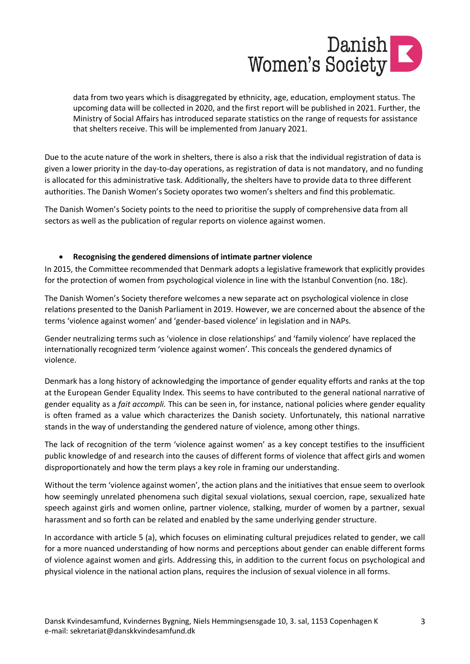

data from two years which is disaggregated by ethnicity, age, education, employment status. The upcoming data will be collected in 2020, and the first report will be published in 2021. Further, the Ministry of Social Affairs has introduced separate statistics on the range of requests for assistance that shelters receive. This will be implemented from January 2021.

Due to the acute nature of the work in shelters, there is also a risk that the individual registration of data is given a lower priority in the day-to-day operations, as registration of data is not mandatory, and no funding is allocated for this administrative task. Additionally, the shelters have to provide data to three different authorities. The Danish Women's Society oporates two women's shelters and find this problematic.

The Danish Women's Society points to the need to prioritise the supply of comprehensive data from all sectors as well as the publication of regular reports on violence against women.

### • **Recognising the gendered dimensions of intimate partner violence**

In 2015, the Committee recommended that Denmark adopts a legislative framework that explicitly provides for the protection of women from psychological violence in line with the Istanbul Convention (no. 18c).

The Danish Women's Society therefore welcomes a new separate act on psychological violence in close relations presented to the Danish Parliament in 2019. However, we are concerned about the absence of the terms 'violence against women' and 'gender-based violence' in legislation and in NAPs.

Gender neutralizing terms such as 'violence in close relationships' and 'family violence' have replaced the internationally recognized term 'violence against women'. This conceals the gendered dynamics of violence.

Denmark has a long history of acknowledging the importance of gender equality efforts and ranks at the top at the European Gender Equality Index. This seems to have contributed to the general national narrative of gender equality as a *fait accompli.* This can be seen in, for instance, national policies where gender equality is often framed as a value which characterizes the Danish society. Unfortunately, this national narrative stands in the way of understanding the gendered nature of violence, among other things.

The lack of recognition of the term 'violence against women' as a key concept testifies to the insufficient public knowledge of and research into the causes of different forms of violence that affect girls and women disproportionately and how the term plays a key role in framing our understanding.

Without the term 'violence against women', the action plans and the initiatives that ensue seem to overlook how seemingly unrelated phenomena such digital sexual violations, sexual coercion, rape, sexualized hate speech against girls and women online, partner violence, stalking, murder of women by a partner, sexual harassment and so forth can be related and enabled by the same underlying gender structure.

In accordance with article 5 (a), which focuses on eliminating cultural prejudices related to gender, we call for a more nuanced understanding of how norms and perceptions about gender can enable different forms of violence against women and girls. Addressing this, in addition to the current focus on psychological and physical violence in the national action plans, requires the inclusion of sexual violence in all forms.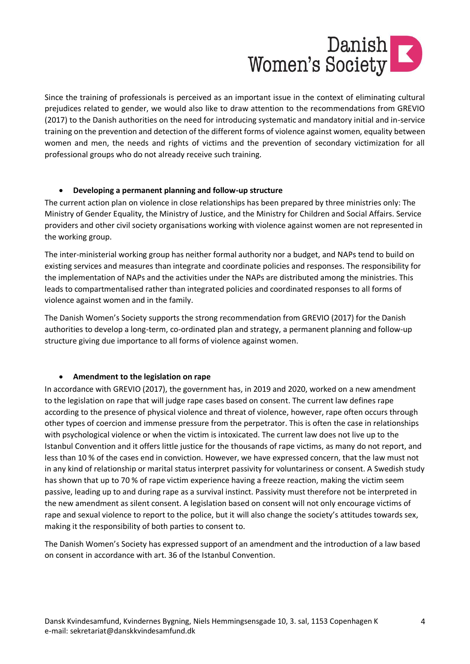

Since the training of professionals is perceived as an important issue in the context of eliminating cultural prejudices related to gender, we would also like to draw attention to the recommendations from GREVIO (2017) to the Danish authorities on the need for introducing systematic and mandatory initial and in-service training on the prevention and detection of the different forms of violence against women, equality between women and men, the needs and rights of victims and the prevention of secondary victimization for all professional groups who do not already receive such training.

### • **Developing a permanent planning and follow-up structure**

The current action plan on violence in close relationships has been prepared by three ministries only: The Ministry of Gender Equality, the Ministry of Justice, and the Ministry for Children and Social Affairs. Service providers and other civil society organisations working with violence against women are not represented in the working group.

The inter-ministerial working group has neither formal authority nor a budget, and NAPs tend to build on existing services and measures than integrate and coordinate policies and responses. The responsibility for the implementation of NAPs and the activities under the NAPs are distributed among the ministries. This leads to compartmentalised rather than integrated policies and coordinated responses to all forms of violence against women and in the family.

The Danish Women's Society supports the strong recommendation from GREVIO (2017) for the Danish authorities to develop a long-term, co-ordinated plan and strategy, a permanent planning and follow-up structure giving due importance to all forms of violence against women.

### • **Amendment to the legislation on rape**

In accordance with GREVIO (2017), the government has, in 2019 and 2020, worked on a new amendment to the legislation on rape that will judge rape cases based on consent. The current law defines rape according to the presence of physical violence and threat of violence, however, rape often occurs through other types of coercion and immense pressure from the perpetrator. This is often the case in relationships with psychological violence or when the victim is intoxicated. The current law does not live up to the Istanbul Convention and it offers little justice for the thousands of rape victims, as many do not report, and less than 10 % of the cases end in conviction. However, we have expressed concern, that the law must not in any kind of relationship or marital status interpret passivity for voluntariness or consent. A Swedish study has shown that up to 70 % of rape victim experience having a freeze reaction, making the victim seem passive, leading up to and during rape as a survival instinct. Passivity must therefore not be interpreted in the new amendment as silent consent. A legislation based on consent will not only encourage victims of rape and sexual violence to report to the police, but it will also change the society's attitudes towards sex, making it the responsibility of both parties to consent to.

The Danish Women's Society has expressed support of an amendment and the introduction of a law based on consent in accordance with art. 36 of the Istanbul Convention.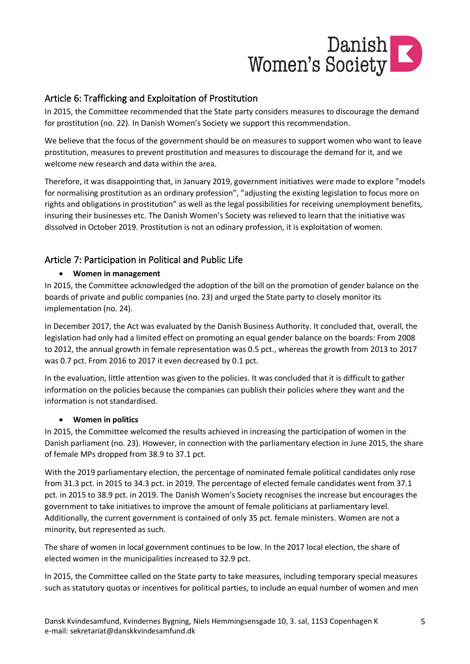

# Article 6: Trafficking and Exploitation of Prostitution

In 2015, the Committee recommended that the State party considers measures to discourage the demand for prostitution (no. 22). In Danish Women's Society we support this recommendation.

We believe that the focus of the government should be on measures to support women who want to leave prostitution, measures to prevent prostitution and measures to discourage the demand for it, and we welcome new research and data within the area.

Therefore, it was disappointing that, in January 2019, government initiatives were made to explore "models for normalising prostitution as an ordinary profession", "adjusting the existing legislation to focus more on rights and obligations in prostitution" as well as the legal possibilities for receiving unemployment benefits, insuring their businesses etc. The Danish Women's Society was relieved to learn that the initiative was dissolved in October 2019. Prostitution is not an odinary profession, it is exploitation of women.

# Article 7: Participation in Political and Public Life

# • **Women in management**

In 2015, the Committee acknowledged the adoption of the bill on the promotion of gender balance on the boards of private and public companies (no. 23) and urged the State party to closely monitor its implementation (no. 24).

In December 2017, the Act was evaluated by the Danish Business Authority. It concluded that, overall, the legislation had only had a limited effect on promoting an equal gender balance on the boards: From 2008 to 2012, the annual growth in female representation was 0.5 pct., whereas the growth from 2013 to 2017 was 0.7 pct. From 2016 to 2017 it even decreased by 0.1 pct.

In the evaluation, little attention was given to the policies. It was concluded that it is difficult to gather information on the policies because the companies can publish their policies where they want and the information is not standardised.

### • **Women in politics**

In 2015, the Committee welcomed the results achieved in increasing the participation of women in the Danish parliament (no. 23). However, in connection with the parliamentary election in June 2015, the share of female MPs dropped from 38.9 to 37.1 pct.

With the 2019 parliamentary election, the percentage of nominated female political candidates only rose from 31.3 pct. in 2015 to 34.3 pct. in 2019. The percentage of elected female candidates went from 37.1 pct. in 2015 to 38.9 pct. in 2019. The Danish Women's Society recognises the increase but encourages the government to take initiatives to improve the amount of female politicians at parliamentary level. Additionally, the current government is contained of only 35 pct. female ministers. Women are not a minority, but represented as such.

The share of women in local government continues to be low. In the 2017 local election, the share of elected women in the municipalities increased to 32.9 pct.

In 2015, the Committee called on the State party to take measures, including temporary special measures such as statutory quotas or incentives for political parties, to include an equal number of women and men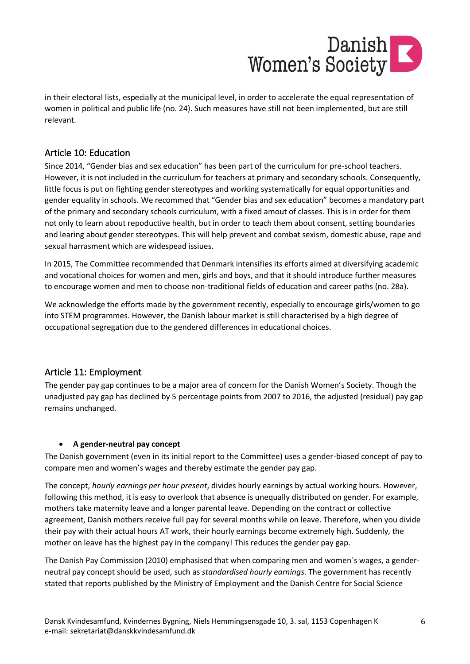

in their electoral lists, especially at the municipal level, in order to accelerate the equal representation of women in political and public life (no. 24). Such measures have still not been implemented, but are still relevant.

# Article 10: Education

Since 2014, "Gender bias and sex education" has been part of the curriculum for pre-school teachers. However, it is not included in the curriculum for teachers at primary and secondary schools. Consequently, little focus is put on fighting gender stereotypes and working systematically for equal opportunities and gender equality in schools. We recommed that "Gender bias and sex education" becomes a mandatory part of the primary and secondary schools curriculum, with a fixed amout of classes. This is in order for them not only to learn about repoductive health, but in order to teach them about consent, setting boundaries and learing about gender stereotypes. This will help prevent and combat sexism, domestic abuse, rape and sexual harrasment which are widespead issiues.

In 2015, The Committee recommended that Denmark intensifies its efforts aimed at diversifying academic and vocational choices for women and men, girls and boys, and that it should introduce further measures to encourage women and men to choose non-traditional fields of education and career paths (no. 28a).

We acknowledge the efforts made by the government recently, especially to encourage girls/women to go into STEM programmes. However, the Danish labour market is still characterised by a high degree of occupational segregation due to the gendered differences in educational choices.

# Article 11: Employment

The gender pay gap continues to be a major area of concern for the Danish Women's Society. Though the unadjusted pay gap has declined by 5 percentage points from 2007 to 2016, the adjusted (residual) pay gap remains unchanged.

### • **A gender-neutral pay concept**

The Danish government (even in its initial report to the Committee) uses a gender-biased concept of pay to compare men and women's wages and thereby estimate the gender pay gap.

The concept, *hourly earnings per hour present*, divides hourly earnings by actual working hours. However, following this method, it is easy to overlook that absence is unequally distributed on gender. For example, mothers take maternity leave and a longer parental leave. Depending on the contract or collective agreement, Danish mothers receive full pay for several months while on leave. Therefore, when you divide their pay with their actual hours AT work, their hourly earnings become extremely high. Suddenly, the mother on leave has the highest pay in the company! This reduces the gender pay gap.

The Danish Pay Commission (2010) emphasised that when comparing men and women´s wages, a genderneutral pay concept should be used, such as *standardised hourly earnings*. The government has recently stated that reports published by the Ministry of Employment and the Danish Centre for Social Science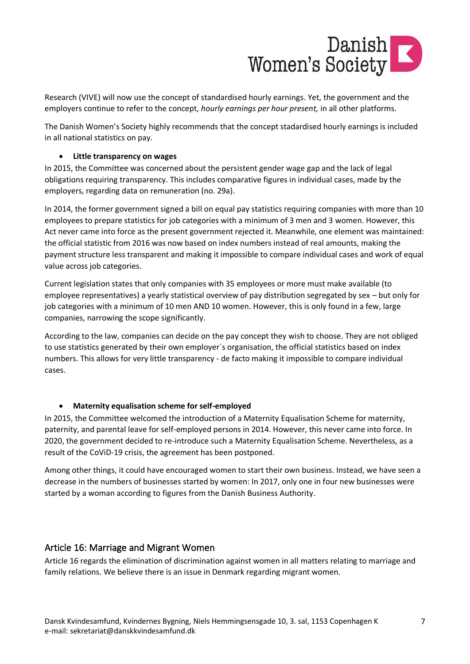

Research (VIVE) will now use the concept of standardised hourly earnings. Yet, the government and the employers continue to refer to the concept, *hourly earnings per hour present,* in all other platforms.

The Danish Women's Society highly recommends that the concept stadardised hourly earnings is included in all national statistics on pay.

### • **Little transparency on wages**

In 2015, the Committee was concerned about the persistent gender wage gap and the lack of legal obligations requiring transparency. This includes comparative figures in individual cases, made by the employers, regarding data on remuneration (no. 29a).

In 2014, the former government signed a bill on equal pay statistics requiring companies with more than 10 employees to prepare statistics for job categories with a minimum of 3 men and 3 women. However, this Act never came into force as the present government rejected it. Meanwhile, one element was maintained: the official statistic from 2016 was now based on index numbers instead of real amounts, making the payment structure less transparent and making it impossible to compare individual cases and work of equal value across job categories.

Current legislation states that only companies with 35 employees or more must make available (to employee representatives) a yearly statistical overview of pay distribution segregated by sex – but only for job categories with a minimum of 10 men AND 10 women. However, this is only found in a few, large companies, narrowing the scope significantly.

According to the law, companies can decide on the pay concept they wish to choose. They are not obliged to use statistics generated by their own employer´s organisation, the official statistics based on index numbers. This allows for very little transparency - de facto making it impossible to compare individual cases.

### • **Maternity equalisation scheme for self-employed**

In 2015, the Committee welcomed the introduction of a Maternity Equalisation Scheme for maternity, paternity, and parental leave for self-employed persons in 2014. However, this never came into force. In 2020, the government decided to re-introduce such a Maternity Equalisation Scheme. Nevertheless, as a result of the CoViD-19 crisis, the agreement has been postponed.

Among other things, it could have encouraged women to start their own business. Instead, we have seen a decrease in the numbers of businesses started by women: In 2017, only one in four new businesses were started by a woman according to figures from the Danish Business Authority.

### Article 16: Marriage and Migrant Women

Article 16 regards the elimination of discrimination against women in all matters relating to marriage and family relations. We believe there is an issue in Denmark regarding migrant women.